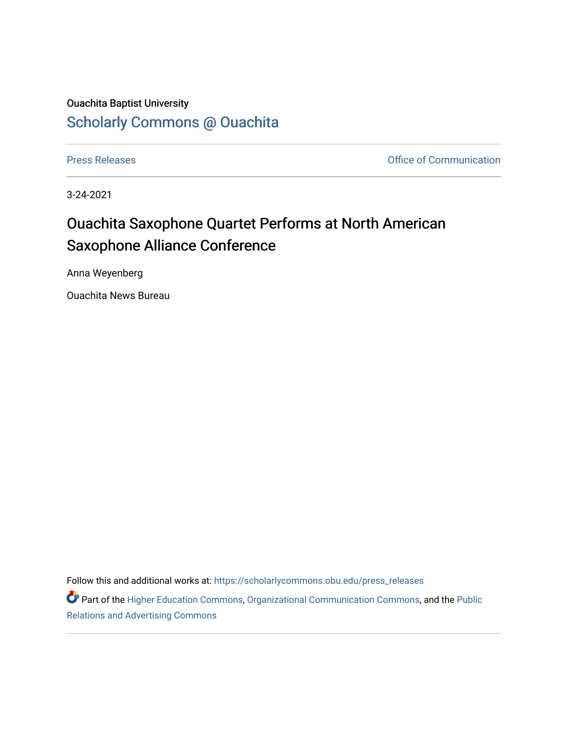## Ouachita Baptist University [Scholarly Commons @ Ouachita](https://scholarlycommons.obu.edu/)

[Press Releases](https://scholarlycommons.obu.edu/press_releases) **Press Releases Communication** 

3-24-2021

## Ouachita Saxophone Quartet Performs at North American Saxophone Alliance Conference

Anna Weyenberg

Ouachita News Bureau

Follow this and additional works at: [https://scholarlycommons.obu.edu/press\\_releases](https://scholarlycommons.obu.edu/press_releases?utm_source=scholarlycommons.obu.edu%2Fpress_releases%2F785&utm_medium=PDF&utm_campaign=PDFCoverPages)

Part of the [Higher Education Commons,](http://network.bepress.com/hgg/discipline/1245?utm_source=scholarlycommons.obu.edu%2Fpress_releases%2F785&utm_medium=PDF&utm_campaign=PDFCoverPages) [Organizational Communication Commons,](http://network.bepress.com/hgg/discipline/335?utm_source=scholarlycommons.obu.edu%2Fpress_releases%2F785&utm_medium=PDF&utm_campaign=PDFCoverPages) and the [Public](http://network.bepress.com/hgg/discipline/336?utm_source=scholarlycommons.obu.edu%2Fpress_releases%2F785&utm_medium=PDF&utm_campaign=PDFCoverPages) [Relations and Advertising Commons](http://network.bepress.com/hgg/discipline/336?utm_source=scholarlycommons.obu.edu%2Fpress_releases%2F785&utm_medium=PDF&utm_campaign=PDFCoverPages)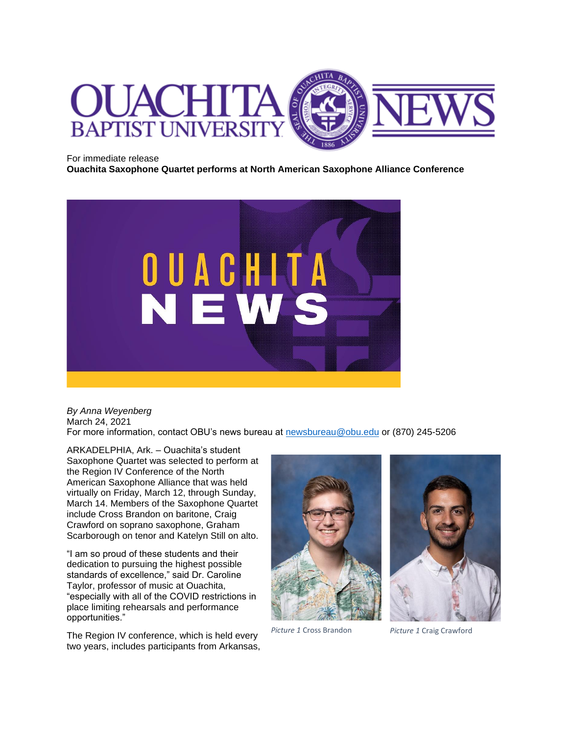

For immediate release

**Ouachita Saxophone Quartet performs at North American Saxophone Alliance Conference**



*By Anna Weyenberg* March 24, 2021 For more information, contact OBU's news bureau at [newsbureau@obu.edu](mailto:newsbureau@obu.edu) or (870) 245-5206

ARKADELPHIA, Ark. – Ouachita's student Saxophone Quartet was selected to perform at the Region IV Conference of the North American Saxophone Alliance that was held virtually on Friday, March 12, through Sunday, March 14. Members of the Saxophone Quartet include Cross Brandon on baritone, Craig Crawford on soprano saxophone, Graham Scarborough on tenor and Katelyn Still on alto.

"I am so proud of these students and their dedication to pursuing the highest possible standards of excellence," said Dr. Caroline Taylor, professor of music at Ouachita, "especially with all of the COVID restrictions in place limiting rehearsals and performance opportunities."

The Region IV conference, which is held every two years, includes participants from Arkansas,



*Picture 1* Cross Brandon *Picture 1* Craig Crawford